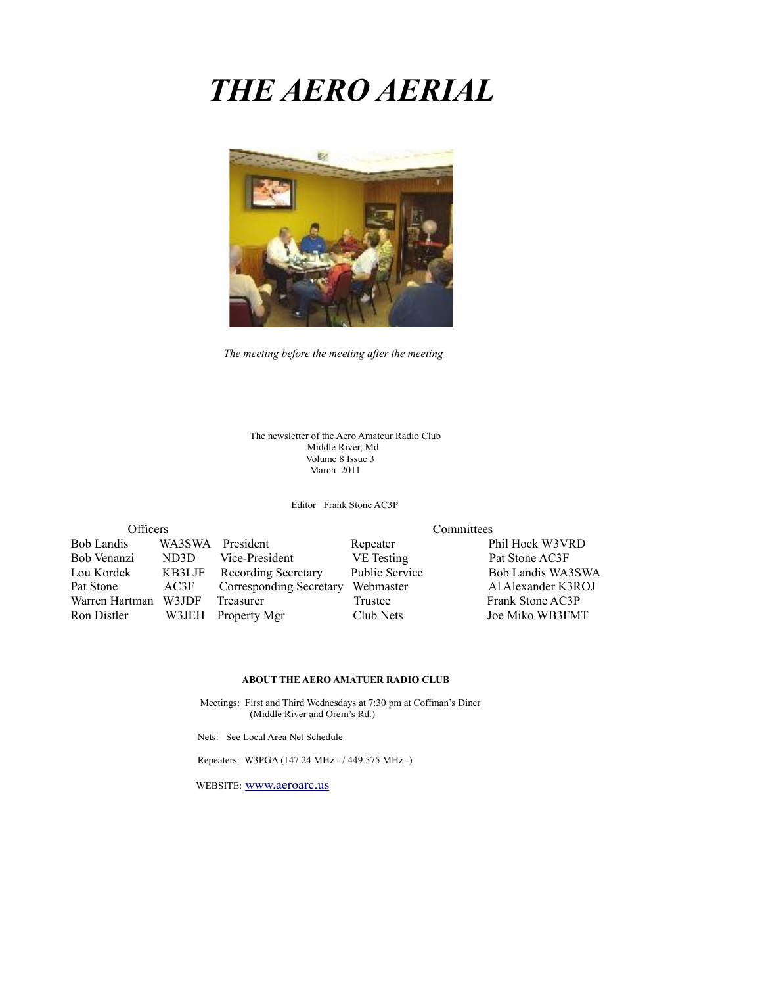# *THE AERO AERIAL*



*The meeting before the meeting after the meeting*

The newsletter of the Aero Amateur Radio Club Middle River, Md Volume 8 Issue 3 March 2011

Editor Frank Stone AC3P

| Officers          |                   |                         |        |
|-------------------|-------------------|-------------------------|--------|
| <b>Bob Landis</b> |                   | WA3SWA President        | Repea  |
| Bob Venanzi       | ND <sub>3</sub> D | Vice-President          | VE Te  |
| Lou Kordek        | KB3LJF            | Recording Secretary     | Public |
| Pat Stone         | AC3F              | Corresponding Secretary | Webm   |
| Warren Hartman    | W3JDF             | Treasurer               | Truste |
| Ron Distler       | W3JEH             | Property Mgr            | Club1  |

Committees

ter Phil Hock W3VRD esting Pat Stone AC3F Service Bob Landis WA3SWA naster Al Alexander K3ROJ ee Frank Stone AC3P Nets Joe Miko WB3FMT

#### **ABOUT THE AERO AMATUER RADIO CLUB**

 Meetings: First and Third Wednesdays at 7:30 pm at Coffman's Diner (Middle River and Orem's Rd.)

Nets: See Local Area Net Schedule

Repeaters: W3PGA (147.24 MHz - / 449.575 MHz -)

WEBSITE: [www.aeroarc.us](http://www.aeroarc.us/)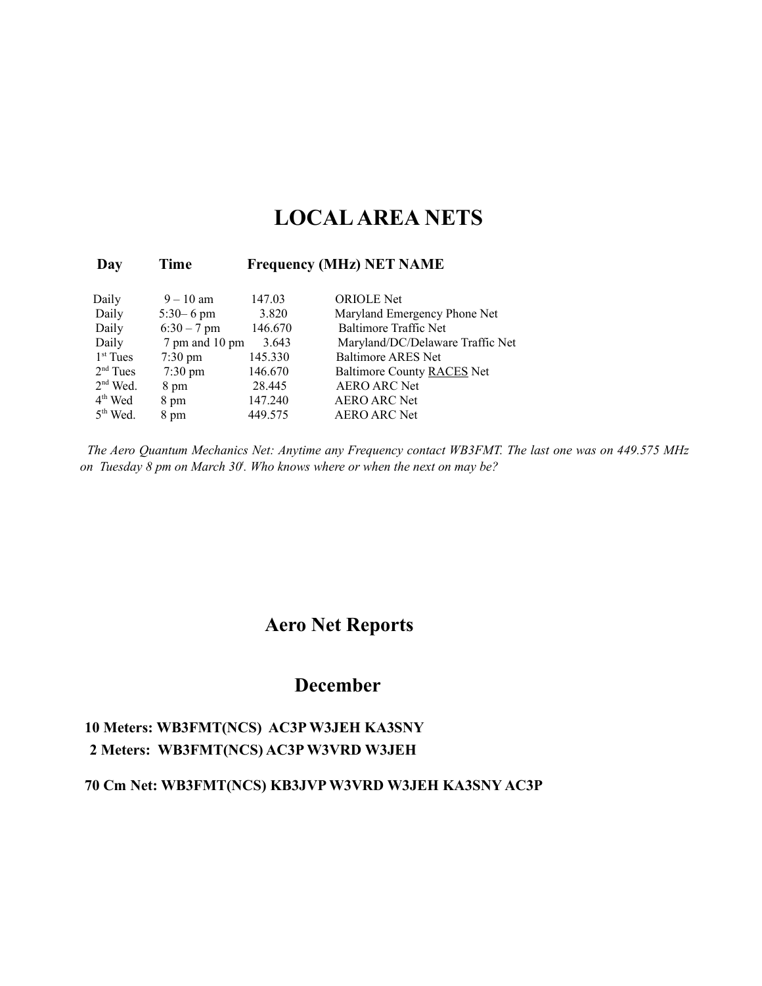# **LOCAL AREA NETS**

#### **Day Time Frequency (MHz) NET NAME**

| Daily      | $9 - 10$ am       | 147.03  | <b>ORIOLE</b> Net                |
|------------|-------------------|---------|----------------------------------|
| Daily      | $5:30 - 6$ pm     | 3.820   | Maryland Emergency Phone Net     |
| Daily      | $6:30 - 7$ pm     | 146.670 | <b>Baltimore Traffic Net</b>     |
| Daily      | 7 pm and 10 pm    | 3.643   | Maryland/DC/Delaware Traffic Net |
| $1st$ Tues | $7:30 \text{ pm}$ | 145.330 | <b>Baltimore ARES Net</b>        |
| $2nd$ Tues | $7:30 \text{ pm}$ | 146.670 | Baltimore County RACES Net       |
| $2nd$ Wed. | 8 pm              | 28.445  | <b>AERO ARC Net</b>              |
| $4th$ Wed  | 8 pm              | 147.240 | <b>AERO ARC Net</b>              |
| $5th$ Wed. | 8 pm              | 449.575 | <b>AERO ARC Net</b>              |

*The Aero Quantum Mechanics Net: Anytime any Frequency contact WB3FMT. The last one was on 449.575 MHz on Tuesday 8 pm on March 30<sup>t</sup> . Who knows where or when the next on may be?*

## **Aero Net Reports**

## **December**

### **10 Meters: WB3FMT(NCS) AC3P W3JEH KA3SNY 2 Meters: WB3FMT(NCS) AC3P W3VRD W3JEH**

#### **70 Cm Net: WB3FMT(NCS) KB3JVP W3VRD W3JEH KA3SNY AC3P**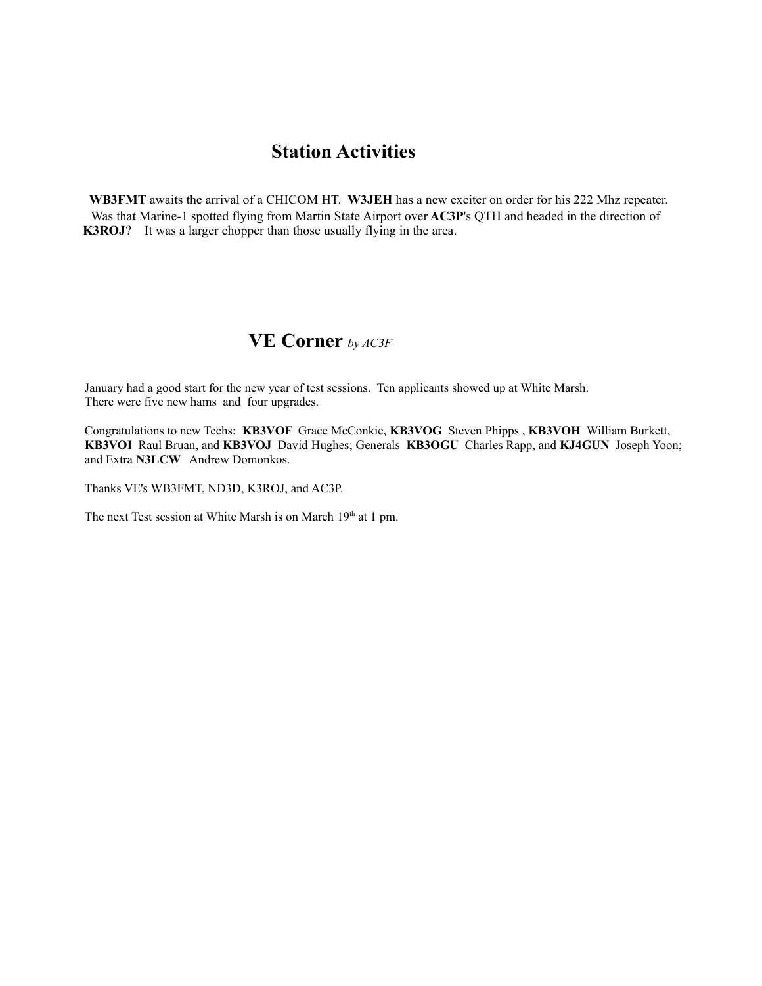## **Station Activities**

**WB3FMT** awaits the arrival of a CHICOM HT. **W3JEH** has a new exciter on order for his 222 Mhz repeater. Was that Marine-1 spotted flying from Martin State Airport over **AC3P**'s QTH and headed in the direction of **K3ROJ**? It was a larger chopper than those usually flying in the area.

### **VE Corner** *by AC3F*

January had a good start for the new year of test sessions. Ten applicants showed up at White Marsh. There were five new hams and four upgrades.

Congratulations to new Techs: **KB3VOF** Grace McConkie, **KB3VOG** Steven Phipps , **KB3VOH** William Burkett, **KB3VOI** Raul Bruan, and **KB3VOJ** David Hughes; Generals **KB3OGU** Charles Rapp, and **KJ4GUN** Joseph Yoon; and Extra **N3LCW** Andrew Domonkos.

Thanks VE's WB3FMT, ND3D, K3ROJ, and AC3P.

The next Test session at White Marsh is on March 19<sup>th</sup> at 1 pm.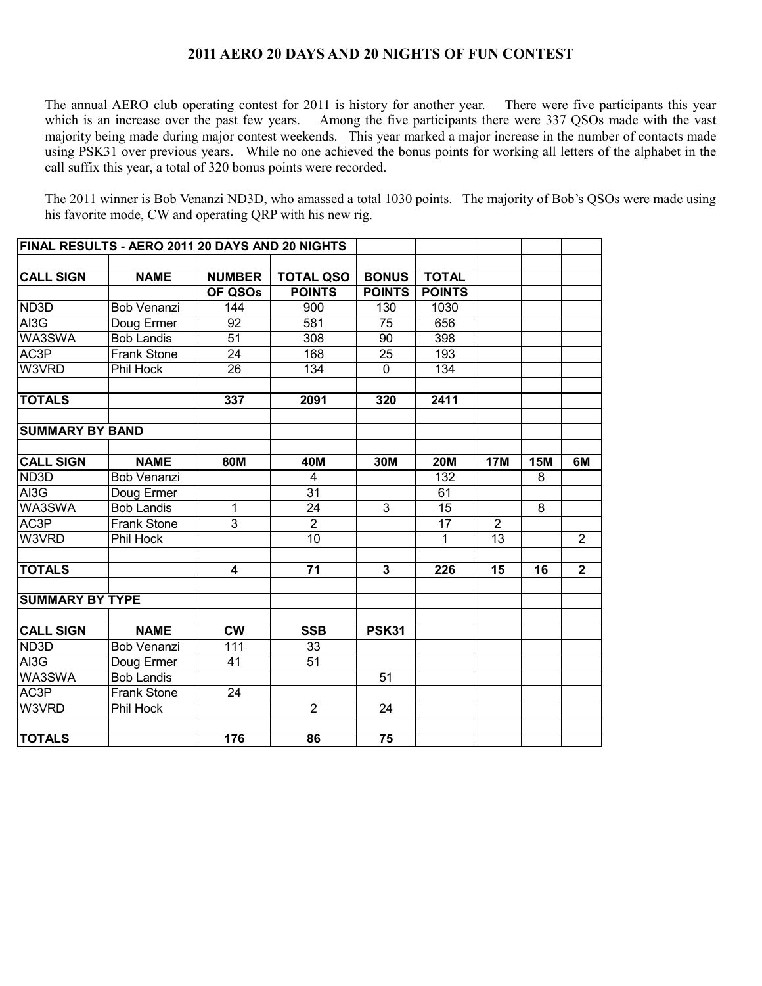#### **2011 AERO 20 DAYS AND 20 NIGHTS OF FUN CONTEST**

The annual AERO club operating contest for 2011 is history for another year. There were five participants this year which is an increase over the past few years. Among the five participants there were 337 QSOs made with the vast majority being made during major contest weekends. This year marked a major increase in the number of contacts made using PSK31 over previous years. While no one achieved the bonus points for working all letters of the alphabet in the call suffix this year, a total of 320 bonus points were recorded.

The 2011 winner is Bob Venanzi ND3D, who amassed a total 1030 points. The majority of Bob's QSOs were made using his favorite mode, CW and operating QRP with his new rig.

| FINAL RESULTS - AERO 2011 20 DAYS AND 20 NIGHTS |                    |                        |                  |                |               |                 |            |                |
|-------------------------------------------------|--------------------|------------------------|------------------|----------------|---------------|-----------------|------------|----------------|
|                                                 |                    |                        |                  |                |               |                 |            |                |
| <b>CALL SIGN</b>                                | <b>NAME</b>        | <b>NUMBER</b>          | <b>TOTAL QSO</b> | <b>BONUS</b>   | <b>TOTAL</b>  |                 |            |                |
|                                                 |                    | OF QSOs                | <b>POINTS</b>    | <b>POINTS</b>  | <b>POINTS</b> |                 |            |                |
| ND3D                                            | Bob Venanzi        | 144                    | 900              | 130            | 1030          |                 |            |                |
| AI3G                                            | Doug Ermer         | 92                     | 581              | 75             | 656           |                 |            |                |
| WA3SWA                                          | <b>Bob Landis</b>  | 51                     | 308              | 90             | 398           |                 |            |                |
| AC3P                                            | Frank Stone        | 24                     | 168              | 25             | 193           |                 |            |                |
| W3VRD                                           | Phil Hock          | 26                     | 134              | $\mathbf 0$    | 134           |                 |            |                |
| <b>TOTALS</b>                                   |                    | 337                    | 2091             | 320            | 2411          |                 |            |                |
| <b>SUMMARY BY BAND</b>                          |                    |                        |                  |                |               |                 |            |                |
|                                                 |                    |                        |                  |                |               |                 |            |                |
| <b>CALL SIGN</b>                                | <b>NAME</b>        | <b>80M</b>             | 40M              | 30M            | <b>20M</b>    | <b>17M</b>      | <b>15M</b> | 6M             |
| ND3D                                            | <b>Bob Venanzi</b> |                        | 4                |                | 132           |                 | 8          |                |
| AI3G                                            | Doug Ermer         |                        | 31               |                | 61            |                 |            |                |
| WA3SWA                                          | <b>Bob Landis</b>  | 1                      | 24               | 3              | 15            |                 | 8          |                |
| AC3P                                            | Frank Stone        | $\overline{3}$         | $\overline{2}$   |                | 17            | $\overline{2}$  |            |                |
| W3VRD                                           | Phil Hock          |                        | $\overline{10}$  |                | 1             | $\overline{13}$ |            | $\overline{2}$ |
| <b>TOTALS</b>                                   |                    | 4                      | 71               | $\overline{3}$ | 226           | 15              | 16         | $\overline{2}$ |
| <b>SUMMARY BY TYPE</b>                          |                    |                        |                  |                |               |                 |            |                |
| <b>CALL SIGN</b>                                | <b>NAME</b>        | $\overline{\text{cw}}$ | <b>SSB</b>       | <b>PSK31</b>   |               |                 |            |                |
| ND <sub>3</sub> D                               | Bob Venanzi        | 111                    | 33               |                |               |                 |            |                |
| AI3G                                            | Doug Ermer         | 41                     | 51               |                |               |                 |            |                |
| WA3SWA                                          | <b>Bob Landis</b>  |                        |                  | 51             |               |                 |            |                |
| AC3P                                            | Frank Stone        | 24                     |                  |                |               |                 |            |                |
| W3VRD                                           | Phil Hock          |                        | $\overline{2}$   | 24             |               |                 |            |                |
| <b>TOTALS</b>                                   |                    | 176                    | 86               | 75             |               |                 |            |                |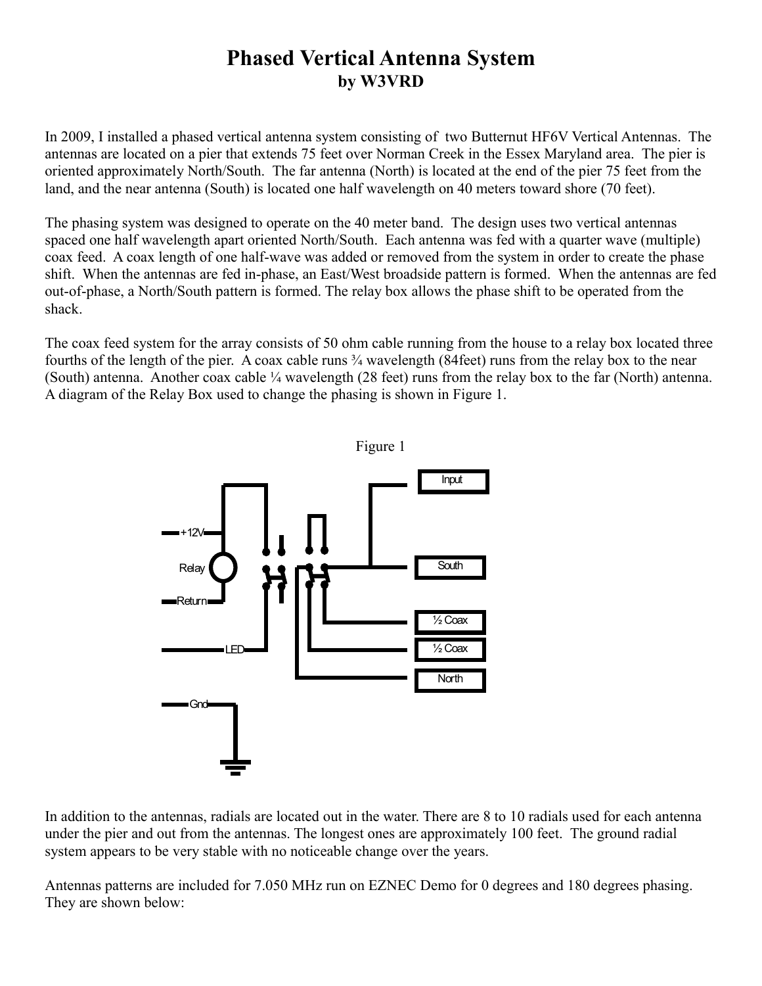# **Phased Vertical Antenna System by W3VRD**

In 2009, I installed a phased vertical antenna system consisting of two Butternut HF6V Vertical Antennas. The antennas are located on a pier that extends 75 feet over Norman Creek in the Essex Maryland area. The pier is oriented approximately North/South. The far antenna (North) is located at the end of the pier 75 feet from the land, and the near antenna (South) is located one half wavelength on 40 meters toward shore (70 feet).

The phasing system was designed to operate on the 40 meter band. The design uses two vertical antennas spaced one half wavelength apart oriented North/South. Each antenna was fed with a quarter wave (multiple) coax feed. A coax length of one half-wave was added or removed from the system in order to create the phase shift. When the antennas are fed in-phase, an East/West broadside pattern is formed. When the antennas are fed out-of-phase, a North/South pattern is formed. The relay box allows the phase shift to be operated from the shack.

The coax feed system for the array consists of 50 ohm cable running from the house to a relay box located three fourths of the length of the pier. A coax cable runs ¾ wavelength (84feet) runs from the relay box to the near (South) antenna. Another coax cable ¼ wavelength (28 feet) runs from the relay box to the far (North) antenna. A diagram of the Relay Box used to change the phasing is shown in Figure 1.



In addition to the antennas, radials are located out in the water. There are 8 to 10 radials used for each antenna under the pier and out from the antennas. The longest ones are approximately 100 feet. The ground radial system appears to be very stable with no noticeable change over the years.

Antennas patterns are included for 7.050 MHz run on EZNEC Demo for 0 degrees and 180 degrees phasing. They are shown below: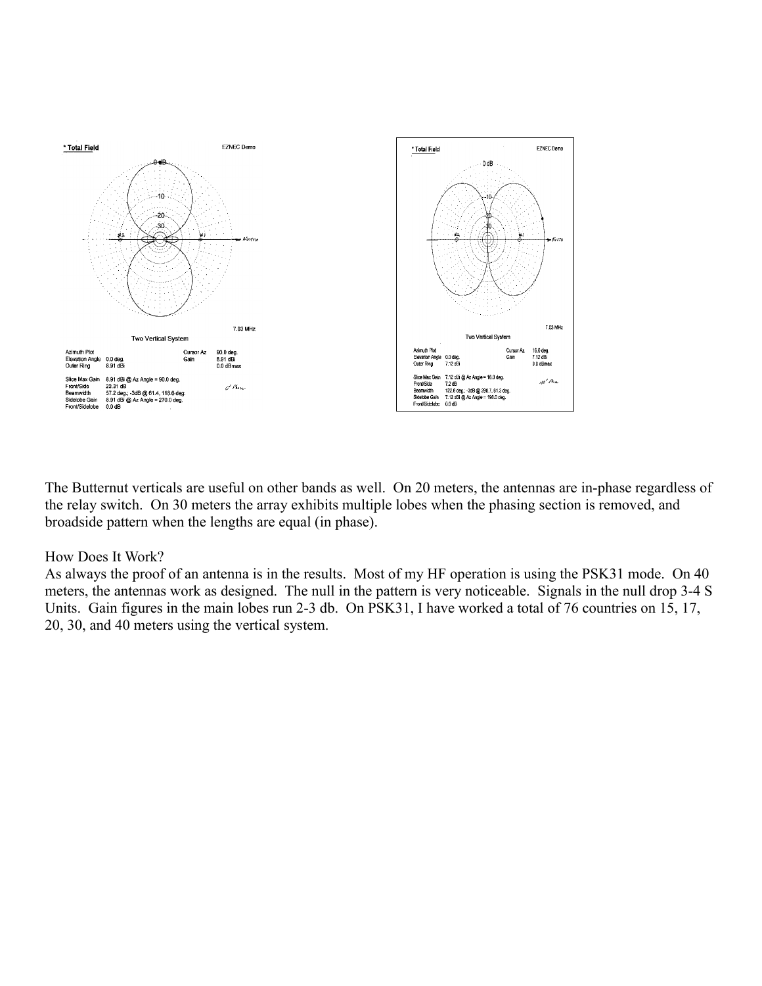

The Butternut verticals are useful on other bands as well. On 20 meters, the antennas are in-phase regardless of the relay switch. On 30 meters the array exhibits multiple lobes when the phasing section is removed, and broadside pattern when the lengths are equal (in phase).

#### How Does It Work?

As always the proof of an antenna is in the results. Most of my HF operation is using the PSK31 mode. On 40 meters, the antennas work as designed. The null in the pattern is very noticeable. Signals in the null drop 3-4 S Units. Gain figures in the main lobes run 2-3 db. On PSK31, I have worked a total of 76 countries on 15, 17, 20, 30, and 40 meters using the vertical system.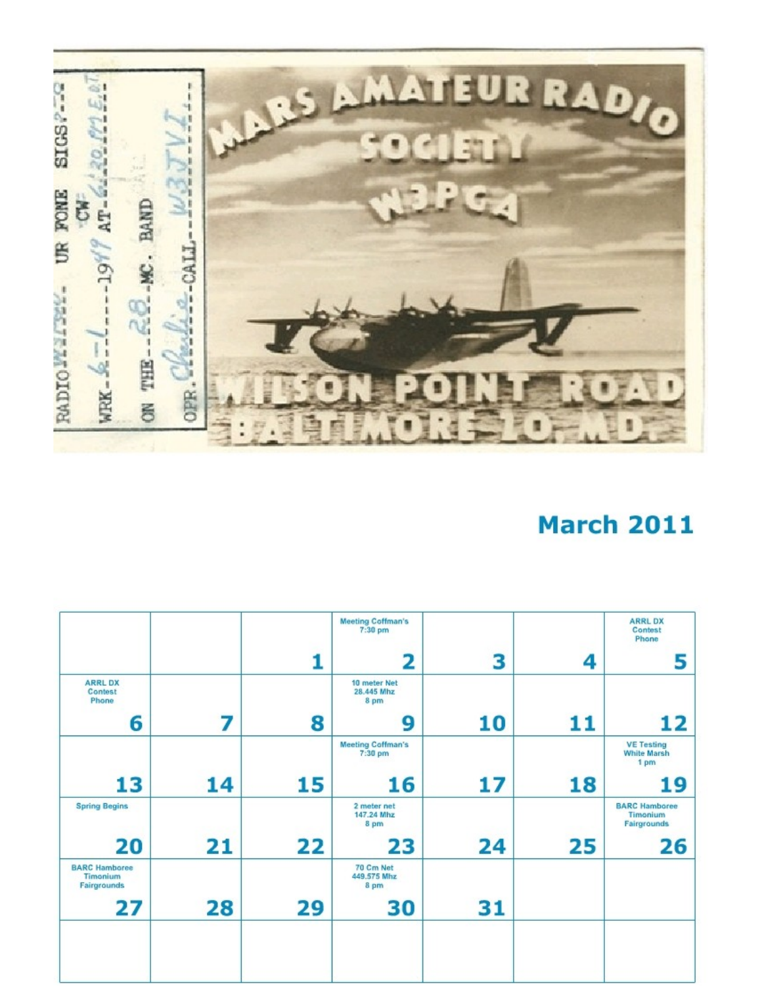

# **March 2011**

|                                                 |    |    | <b>Meeting Coffman's</b><br>$7:30$ pm |    |    | <b>ARRLDX</b><br>Contest<br>Phone               |
|-------------------------------------------------|----|----|---------------------------------------|----|----|-------------------------------------------------|
|                                                 |    |    | 2                                     | 3  | 4  | 5                                               |
| <b>ARRLDX</b><br>Contest<br>Phone               |    |    | 10 meter Net<br>28.445 Mhz<br>8 pm    |    |    |                                                 |
| 6                                               | 7  | 8  | 9                                     | 10 | 11 | 12                                              |
|                                                 |    |    | <b>Meeting Coffman's</b><br>7:30 pm   |    |    | <b>VE Testing</b><br><b>White Marsh</b><br>1 pm |
| 13                                              | 14 | 15 | 16                                    | 17 | 18 | 19                                              |
| <b>Spring Begins</b>                            |    |    | 2 meter net<br>147.24 Mhz<br>8 pm     |    |    | <b>BARC Hamboree</b><br>Timonium<br>Fairgrounds |
| 20                                              | 21 | 22 | 23                                    | 24 | 25 | 26                                              |
| <b>BARC Hamboree</b><br>Timonium<br>Fairgrounds |    |    | 70 Cm Net<br>449,575 Mhz<br>8 pm      |    |    |                                                 |
| 27                                              | 28 | 29 | 30                                    | 31 |    |                                                 |
|                                                 |    |    |                                       |    |    |                                                 |
|                                                 |    |    |                                       |    |    |                                                 |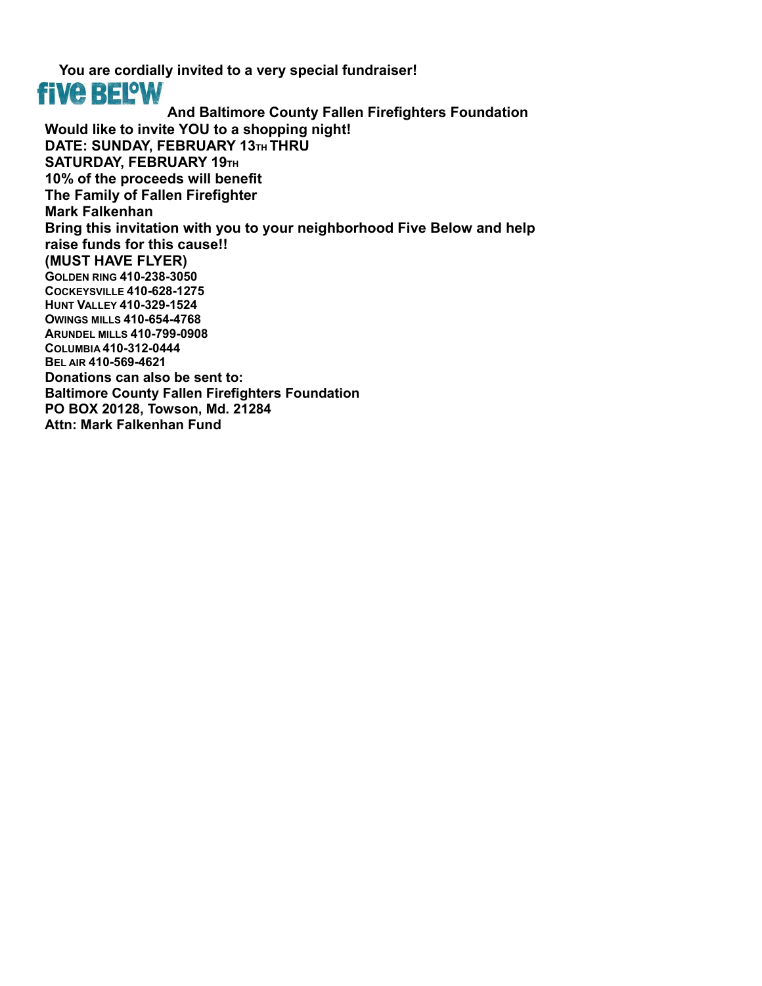**You are cordially invited to a very special fundraiser! five BELOW And Baltimore County Fallen Firefighters Foundation Would like to invite YOU to a shopping night! DATE: SUNDAY, FEBRUARY 13TH THRU SATURDAY, FEBRUARY 19TH 10% of the proceeds will benefit The Family of Fallen Firefighter Mark Falkenhan Bring this invitation with you to your neighborhood Five Below and help raise funds for this cause!! (MUST HAVE FLYER) GOLDEN RING 410-238-3050 COCKEYSVILLE 410-628-1275 HUNT VALLEY 410-329-1524 OWINGS MILLS 410-654-4768 ARUNDEL MILLS 410-799-0908 COLUMBIA 410-312-0444 BEL AIR 410-569-4621 Donations can also be sent to: Baltimore County Fallen Firefighters Foundation PO BOX 20128, Towson, Md. 21284 Attn: Mark Falkenhan Fund**